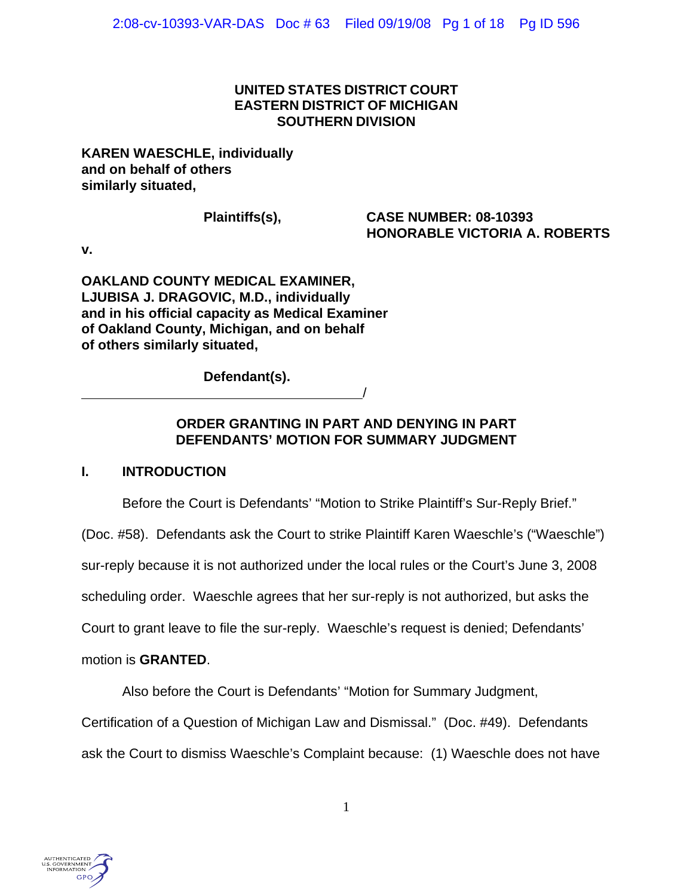# **UNITED STATES DISTRICT COURT EASTERN DISTRICT OF MICHIGAN SOUTHERN DIVISION**

## **KAREN WAESCHLE, individually and on behalf of others similarly situated,**

## **Plaintiffs(s), CASE NUMBER: 08-10393 HONORABLE VICTORIA A. ROBERTS**

**v.**

**OAKLAND COUNTY MEDICAL EXAMINER, LJUBISA J. DRAGOVIC, M.D., individually and in his official capacity as Medical Examiner of Oakland County, Michigan, and on behalf of others similarly situated,**

/

**Defendant(s).**

# **ORDER GRANTING IN PART AND DENYING IN PART DEFENDANTS' MOTION FOR SUMMARY JUDGMENT**

# **I. INTRODUCTION**

Before the Court is Defendants' "Motion to Strike Plaintiff's Sur-Reply Brief."

(Doc. #58). Defendants ask the Court to strike Plaintiff Karen Waeschle's ("Waeschle")

sur-reply because it is not authorized under the local rules or the Court's June 3, 2008

scheduling order. Waeschle agrees that her sur-reply is not authorized, but asks the

Court to grant leave to file the sur-reply. Waeschle's request is denied; Defendants'

# motion is **GRANTED**.

Also before the Court is Defendants' "Motion for Summary Judgment,

Certification of a Question of Michigan Law and Dismissal." (Doc. #49). Defendants

ask the Court to dismiss Waeschle's Complaint because: (1) Waeschle does not have

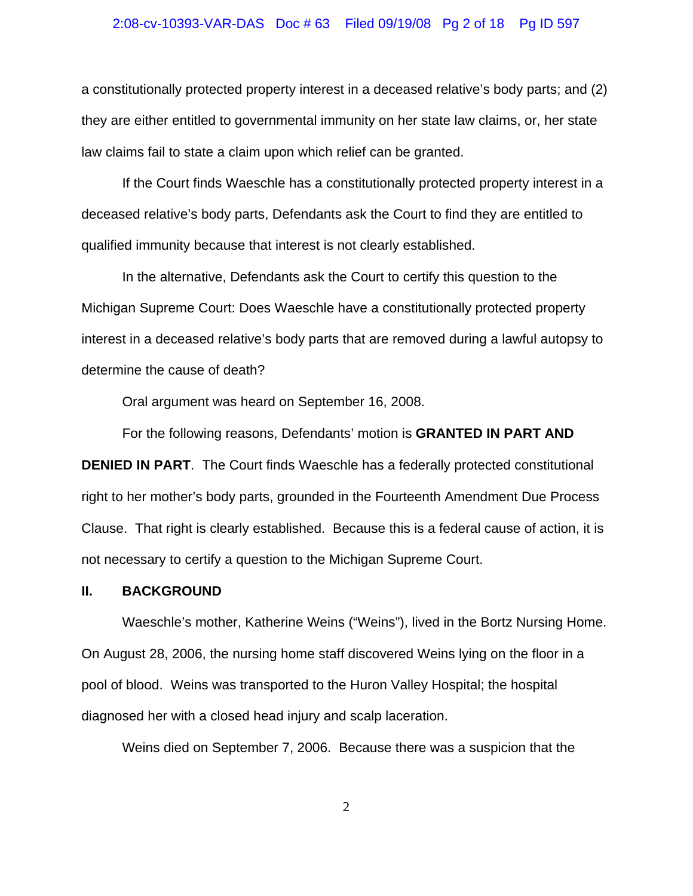#### 2:08-cv-10393-VAR-DAS Doc # 63 Filed 09/19/08 Pg 2 of 18 Pg ID 597

a constitutionally protected property interest in a deceased relative's body parts; and (2) they are either entitled to governmental immunity on her state law claims, or, her state law claims fail to state a claim upon which relief can be granted.

If the Court finds Waeschle has a constitutionally protected property interest in a deceased relative's body parts, Defendants ask the Court to find they are entitled to qualified immunity because that interest is not clearly established.

In the alternative, Defendants ask the Court to certify this question to the Michigan Supreme Court: Does Waeschle have a constitutionally protected property interest in a deceased relative's body parts that are removed during a lawful autopsy to determine the cause of death?

Oral argument was heard on September 16, 2008.

For the following reasons, Defendants' motion is **GRANTED IN PART AND**

**DENIED IN PART.** The Court finds Waeschle has a federally protected constitutional right to her mother's body parts, grounded in the Fourteenth Amendment Due Process Clause. That right is clearly established. Because this is a federal cause of action, it is not necessary to certify a question to the Michigan Supreme Court.

#### **II. BACKGROUND**

Waeschle's mother, Katherine Weins ("Weins"), lived in the Bortz Nursing Home. On August 28, 2006, the nursing home staff discovered Weins lying on the floor in a pool of blood. Weins was transported to the Huron Valley Hospital; the hospital diagnosed her with a closed head injury and scalp laceration.

Weins died on September 7, 2006. Because there was a suspicion that the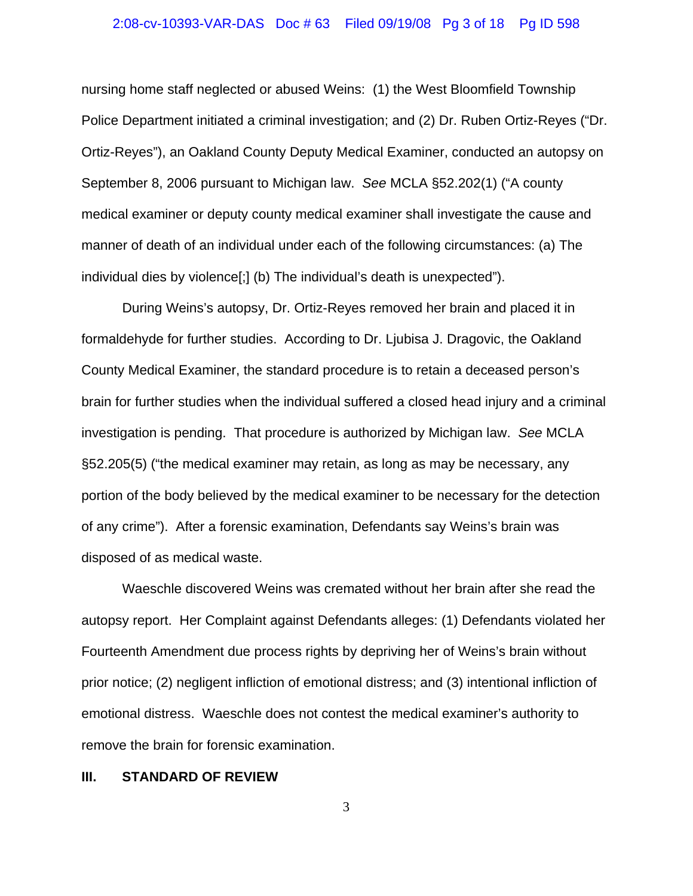#### 2:08-cv-10393-VAR-DAS Doc # 63 Filed 09/19/08 Pg 3 of 18 Pg ID 598

nursing home staff neglected or abused Weins: (1) the West Bloomfield Township Police Department initiated a criminal investigation; and (2) Dr. Ruben Ortiz-Reyes ("Dr. Ortiz-Reyes"), an Oakland County Deputy Medical Examiner, conducted an autopsy on September 8, 2006 pursuant to Michigan law. *See* MCLA §52.202(1) ("A county medical examiner or deputy county medical examiner shall investigate the cause and manner of death of an individual under each of the following circumstances: (a) The individual dies by violence[;] (b) The individual's death is unexpected").

During Weins's autopsy, Dr. Ortiz-Reyes removed her brain and placed it in formaldehyde for further studies. According to Dr. Ljubisa J. Dragovic, the Oakland County Medical Examiner, the standard procedure is to retain a deceased person's brain for further studies when the individual suffered a closed head injury and a criminal investigation is pending. That procedure is authorized by Michigan law. *See* MCLA §52.205(5) ("the medical examiner may retain, as long as may be necessary, any portion of the body believed by the medical examiner to be necessary for the detection of any crime"). After a forensic examination, Defendants say Weins's brain was disposed of as medical waste.

Waeschle discovered Weins was cremated without her brain after she read the autopsy report. Her Complaint against Defendants alleges: (1) Defendants violated her Fourteenth Amendment due process rights by depriving her of Weins's brain without prior notice; (2) negligent infliction of emotional distress; and (3) intentional infliction of emotional distress. Waeschle does not contest the medical examiner's authority to remove the brain for forensic examination.

#### **III. STANDARD OF REVIEW**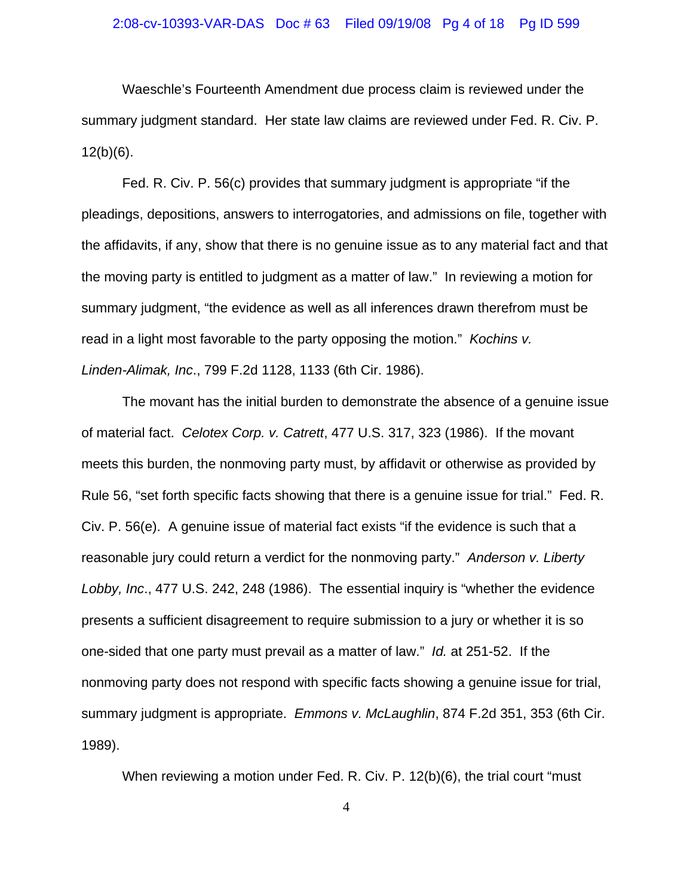#### 2:08-cv-10393-VAR-DAS Doc # 63 Filed 09/19/08 Pg 4 of 18 Pg ID 599

Waeschle's Fourteenth Amendment due process claim is reviewed under the summary judgment standard. Her state law claims are reviewed under Fed. R. Civ. P.  $12(b)(6)$ .

Fed. R. Civ. P. 56(c) provides that summary judgment is appropriate "if the pleadings, depositions, answers to interrogatories, and admissions on file, together with the affidavits, if any, show that there is no genuine issue as to any material fact and that the moving party is entitled to judgment as a matter of law." In reviewing a motion for summary judgment, "the evidence as well as all inferences drawn therefrom must be read in a light most favorable to the party opposing the motion." *Kochins v. Linden-Alimak, Inc*., 799 F.2d 1128, 1133 (6th Cir. 1986).

The movant has the initial burden to demonstrate the absence of a genuine issue of material fact. *Celotex Corp. v. Catrett*, 477 U.S. 317, 323 (1986). If the movant meets this burden, the nonmoving party must, by affidavit or otherwise as provided by Rule 56, "set forth specific facts showing that there is a genuine issue for trial." Fed. R. Civ. P. 56(e). A genuine issue of material fact exists "if the evidence is such that a reasonable jury could return a verdict for the nonmoving party." *Anderson v. Liberty Lobby, Inc*., 477 U.S. 242, 248 (1986). The essential inquiry is "whether the evidence presents a sufficient disagreement to require submission to a jury or whether it is so one-sided that one party must prevail as a matter of law." *Id.* at 251-52. If the nonmoving party does not respond with specific facts showing a genuine issue for trial, summary judgment is appropriate. *Emmons v. McLaughlin*, 874 F.2d 351, 353 (6th Cir. 1989).

When reviewing a motion under Fed. R. Civ. P. 12(b)(6), the trial court "must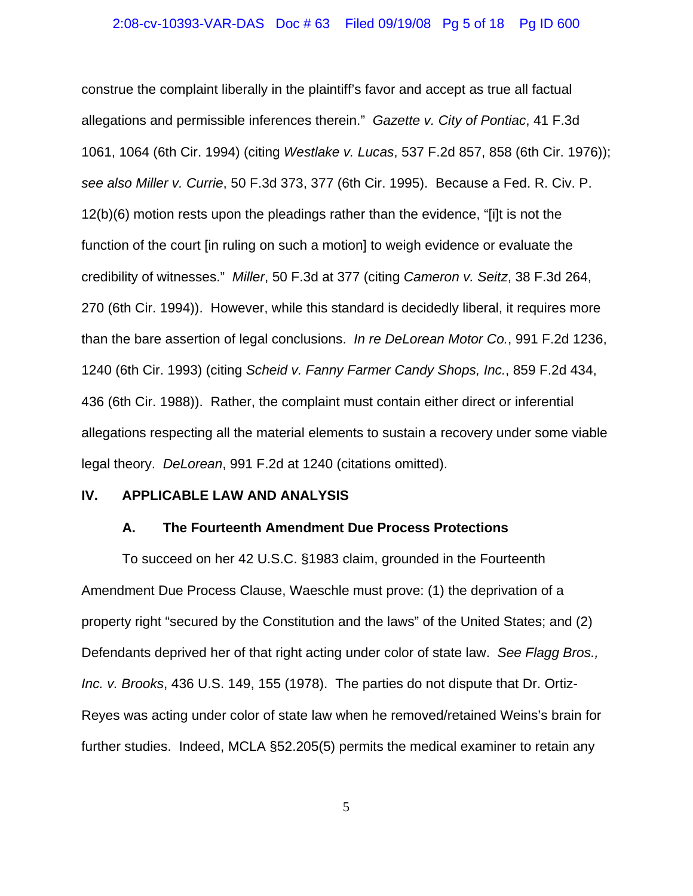construe the complaint liberally in the plaintiff's favor and accept as true all factual allegations and permissible inferences therein." *Gazette v. City of Pontiac*, 41 F.3d 1061, 1064 (6th Cir. 1994) (citing *Westlake v. Lucas*, 537 F.2d 857, 858 (6th Cir. 1976)); *see also Miller v. Currie*, 50 F.3d 373, 377 (6th Cir. 1995). Because a Fed. R. Civ. P. 12(b)(6) motion rests upon the pleadings rather than the evidence, "[i]t is not the function of the court [in ruling on such a motion] to weigh evidence or evaluate the credibility of witnesses." *Miller*, 50 F.3d at 377 (citing *Cameron v. Seitz*, 38 F.3d 264, 270 (6th Cir. 1994)). However, while this standard is decidedly liberal, it requires more than the bare assertion of legal conclusions. *In re DeLorean Motor Co.*, 991 F.2d 1236, 1240 (6th Cir. 1993) (citing *Scheid v. Fanny Farmer Candy Shops, Inc.*, 859 F.2d 434, 436 (6th Cir. 1988)). Rather, the complaint must contain either direct or inferential allegations respecting all the material elements to sustain a recovery under some viable legal theory. *DeLorean*, 991 F.2d at 1240 (citations omitted).

### **IV. APPLICABLE LAW AND ANALYSIS**

#### **A. The Fourteenth Amendment Due Process Protections**

To succeed on her 42 U.S.C. §1983 claim, grounded in the Fourteenth Amendment Due Process Clause, Waeschle must prove: (1) the deprivation of a property right "secured by the Constitution and the laws" of the United States; and (2) Defendants deprived her of that right acting under color of state law. *See Flagg Bros., Inc. v. Brooks*, 436 U.S. 149, 155 (1978). The parties do not dispute that Dr. Ortiz-Reyes was acting under color of state law when he removed/retained Weins's brain for further studies. Indeed, MCLA §52.205(5) permits the medical examiner to retain any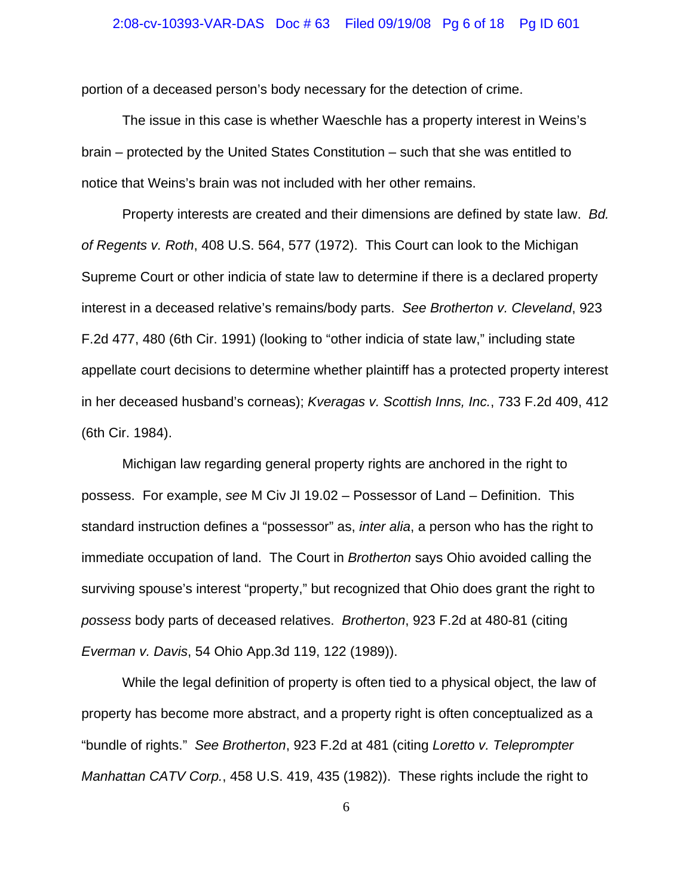#### 2:08-cv-10393-VAR-DAS Doc # 63 Filed 09/19/08 Pg 6 of 18 Pg ID 601

portion of a deceased person's body necessary for the detection of crime.

The issue in this case is whether Waeschle has a property interest in Weins's brain – protected by the United States Constitution – such that she was entitled to notice that Weins's brain was not included with her other remains.

Property interests are created and their dimensions are defined by state law. *Bd. of Regents v. Roth*, 408 U.S. 564, 577 (1972). This Court can look to the Michigan Supreme Court or other indicia of state law to determine if there is a declared property interest in a deceased relative's remains/body parts. *See Brotherton v. Cleveland*, 923 F.2d 477, 480 (6th Cir. 1991) (looking to "other indicia of state law," including state appellate court decisions to determine whether plaintiff has a protected property interest in her deceased husband's corneas); *Kveragas v. Scottish Inns, Inc.*, 733 F.2d 409, 412 (6th Cir. 1984).

Michigan law regarding general property rights are anchored in the right to possess. For example, *see* M Civ JI 19.02 – Possessor of Land – Definition. This standard instruction defines a "possessor" as, *inter alia*, a person who has the right to immediate occupation of land. The Court in *Brotherton* says Ohio avoided calling the surviving spouse's interest "property," but recognized that Ohio does grant the right to *possess* body parts of deceased relatives. *Brotherton*, 923 F.2d at 480-81 (citing *Everman v. Davis*, 54 Ohio App.3d 119, 122 (1989)).

While the legal definition of property is often tied to a physical object, the law of property has become more abstract, and a property right is often conceptualized as a "bundle of rights." *See Brotherton*, 923 F.2d at 481 (citing *Loretto v. Teleprompter Manhattan CATV Corp.*, 458 U.S. 419, 435 (1982)). These rights include the right to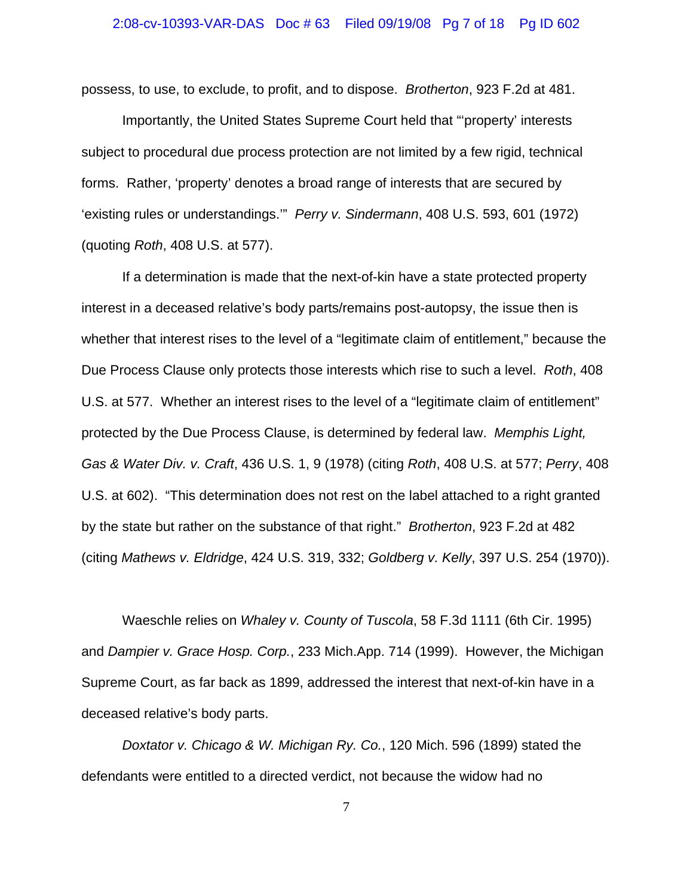possess, to use, to exclude, to profit, and to dispose. *Brotherton*, 923 F.2d at 481.

Importantly, the United States Supreme Court held that "'property' interests subject to procedural due process protection are not limited by a few rigid, technical forms. Rather, 'property' denotes a broad range of interests that are secured by 'existing rules or understandings.'" *Perry v. Sindermann*, 408 U.S. 593, 601 (1972) (quoting *Roth*, 408 U.S. at 577).

If a determination is made that the next-of-kin have a state protected property interest in a deceased relative's body parts/remains post-autopsy, the issue then is whether that interest rises to the level of a "legitimate claim of entitlement," because the Due Process Clause only protects those interests which rise to such a level. *Roth*, 408 U.S. at 577. Whether an interest rises to the level of a "legitimate claim of entitlement" protected by the Due Process Clause, is determined by federal law. *Memphis Light, Gas & Water Div. v. Craft*, 436 U.S. 1, 9 (1978) (citing *Roth*, 408 U.S. at 577; *Perry*, 408 U.S. at 602). "This determination does not rest on the label attached to a right granted by the state but rather on the substance of that right." *Brotherton*, 923 F.2d at 482 (citing *Mathews v. Eldridge*, 424 U.S. 319, 332; *Goldberg v. Kelly*, 397 U.S. 254 (1970)).

Waeschle relies on *Whaley v. County of Tuscola*, 58 F.3d 1111 (6th Cir. 1995) and *Dampier v. Grace Hosp. Corp.*, 233 Mich.App. 714 (1999). However, the Michigan Supreme Court, as far back as 1899, addressed the interest that next-of-kin have in a deceased relative's body parts.

*Doxtator v. Chicago & W. Michigan Ry. Co.*, 120 Mich. 596 (1899) stated the defendants were entitled to a directed verdict, not because the widow had no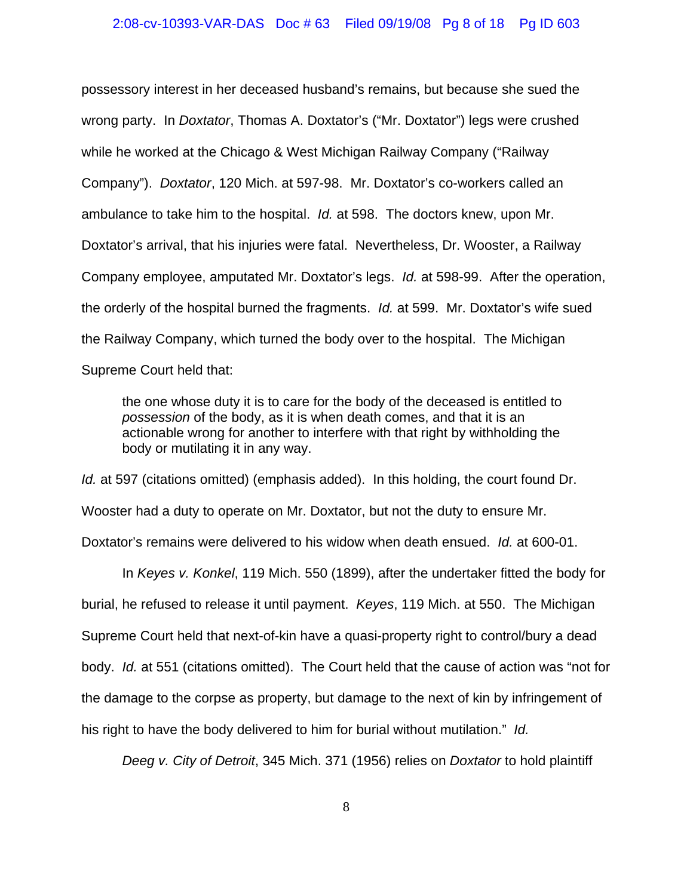possessory interest in her deceased husband's remains, but because she sued the wrong party. In *Doxtator*, Thomas A. Doxtator's ("Mr. Doxtator") legs were crushed while he worked at the Chicago & West Michigan Railway Company ("Railway Company"). *Doxtator*, 120 Mich. at 597-98. Mr. Doxtator's co-workers called an ambulance to take him to the hospital. *Id.* at 598. The doctors knew, upon Mr. Doxtator's arrival, that his injuries were fatal. Nevertheless, Dr. Wooster, a Railway Company employee, amputated Mr. Doxtator's legs. *Id.* at 598-99. After the operation, the orderly of the hospital burned the fragments. *Id.* at 599. Mr. Doxtator's wife sued the Railway Company, which turned the body over to the hospital. The Michigan Supreme Court held that:

the one whose duty it is to care for the body of the deceased is entitled to *possession* of the body, as it is when death comes, and that it is an actionable wrong for another to interfere with that right by withholding the body or mutilating it in any way.

*Id.* at 597 (citations omitted) (emphasis added). In this holding, the court found Dr. Wooster had a duty to operate on Mr. Doxtator, but not the duty to ensure Mr. Doxtator's remains were delivered to his widow when death ensued. *Id.* at 600-01.

In *Keyes v. Konkel*, 119 Mich. 550 (1899), after the undertaker fitted the body for burial, he refused to release it until payment. *Keyes*, 119 Mich. at 550. The Michigan Supreme Court held that next-of-kin have a quasi-property right to control/bury a dead body. *Id.* at 551 (citations omitted). The Court held that the cause of action was "not for the damage to the corpse as property, but damage to the next of kin by infringement of his right to have the body delivered to him for burial without mutilation." *Id.*

*Deeg v. City of Detroit*, 345 Mich. 371 (1956) relies on *Doxtator* to hold plaintiff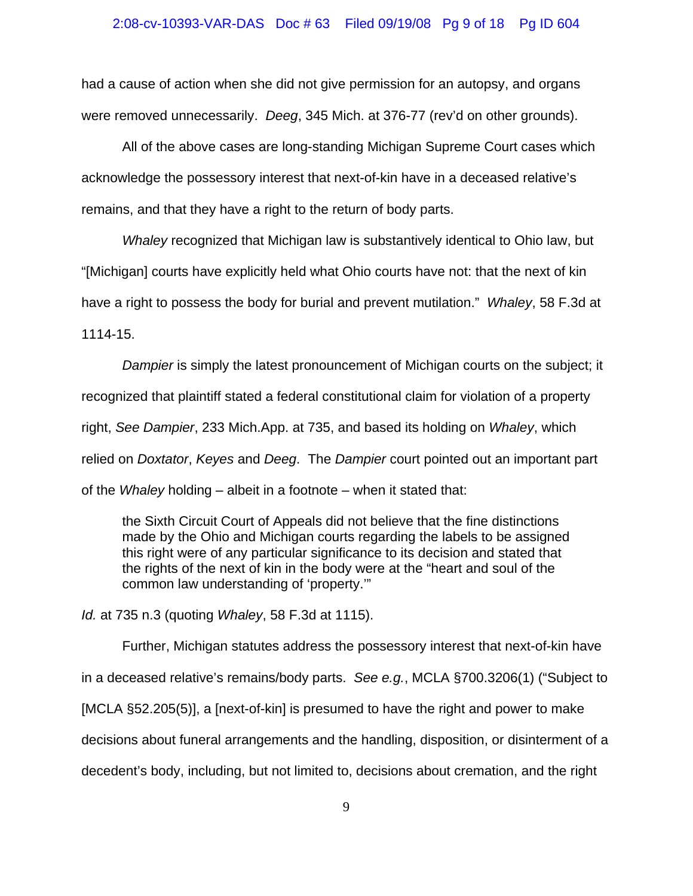had a cause of action when she did not give permission for an autopsy, and organs were removed unnecessarily. *Deeg*, 345 Mich. at 376-77 (rev'd on other grounds).

All of the above cases are long-standing Michigan Supreme Court cases which acknowledge the possessory interest that next-of-kin have in a deceased relative's remains, and that they have a right to the return of body parts.

*Whaley* recognized that Michigan law is substantively identical to Ohio law, but "[Michigan] courts have explicitly held what Ohio courts have not: that the next of kin have a right to possess the body for burial and prevent mutilation." *Whaley*, 58 F.3d at 1114-15.

*Dampier* is simply the latest pronouncement of Michigan courts on the subject; it recognized that plaintiff stated a federal constitutional claim for violation of a property right, *See Dampier*, 233 Mich.App. at 735, and based its holding on *Whaley*, which relied on *Doxtator*, *Keyes* and *Deeg*. The *Dampier* court pointed out an important part of the *Whaley* holding – albeit in a footnote – when it stated that:

the Sixth Circuit Court of Appeals did not believe that the fine distinctions made by the Ohio and Michigan courts regarding the labels to be assigned this right were of any particular significance to its decision and stated that the rights of the next of kin in the body were at the "heart and soul of the common law understanding of 'property.'"

*Id.* at 735 n.3 (quoting *Whaley*, 58 F.3d at 1115).

Further, Michigan statutes address the possessory interest that next-of-kin have in a deceased relative's remains/body parts. *See e.g.*, MCLA §700.3206(1) ("Subject to [MCLA §52.205(5)], a [next-of-kin] is presumed to have the right and power to make decisions about funeral arrangements and the handling, disposition, or disinterment of a decedent's body, including, but not limited to, decisions about cremation, and the right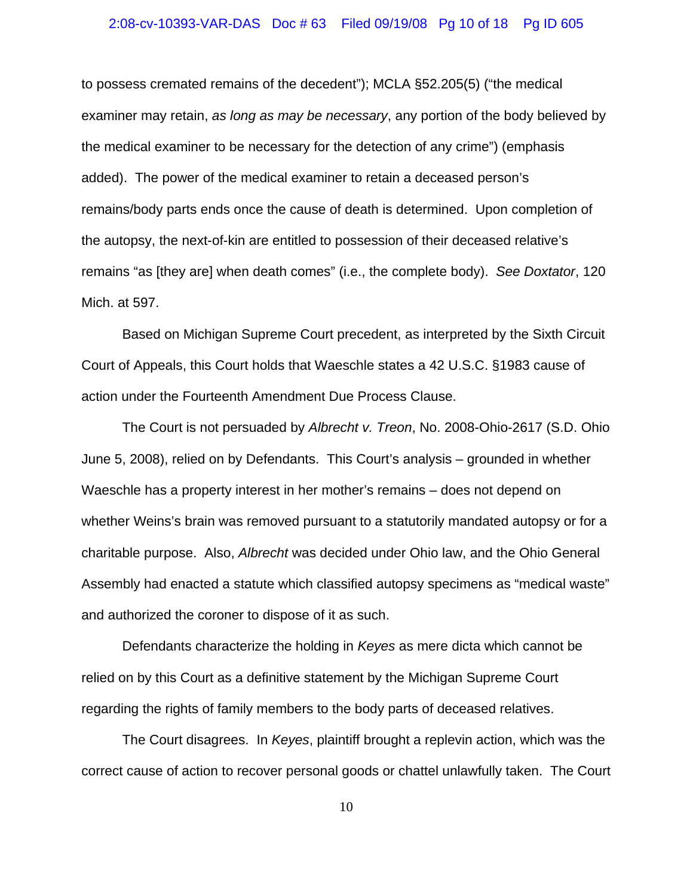#### 2:08-cv-10393-VAR-DAS Doc # 63 Filed 09/19/08 Pg 10 of 18 Pg ID 605

to possess cremated remains of the decedent"); MCLA §52.205(5) ("the medical examiner may retain, *as long as may be necessary*, any portion of the body believed by the medical examiner to be necessary for the detection of any crime") (emphasis added). The power of the medical examiner to retain a deceased person's remains/body parts ends once the cause of death is determined. Upon completion of the autopsy, the next-of-kin are entitled to possession of their deceased relative's remains "as [they are] when death comes" (i.e., the complete body). *See Doxtator*, 120 Mich. at 597.

Based on Michigan Supreme Court precedent, as interpreted by the Sixth Circuit Court of Appeals, this Court holds that Waeschle states a 42 U.S.C. §1983 cause of action under the Fourteenth Amendment Due Process Clause.

The Court is not persuaded by *Albrecht v. Treon*, No. 2008-Ohio-2617 (S.D. Ohio June 5, 2008), relied on by Defendants. This Court's analysis – grounded in whether Waeschle has a property interest in her mother's remains – does not depend on whether Weins's brain was removed pursuant to a statutorily mandated autopsy or for a charitable purpose. Also, *Albrecht* was decided under Ohio law, and the Ohio General Assembly had enacted a statute which classified autopsy specimens as "medical waste" and authorized the coroner to dispose of it as such.

Defendants characterize the holding in *Keyes* as mere dicta which cannot be relied on by this Court as a definitive statement by the Michigan Supreme Court regarding the rights of family members to the body parts of deceased relatives.

The Court disagrees. In *Keyes*, plaintiff brought a replevin action, which was the correct cause of action to recover personal goods or chattel unlawfully taken. The Court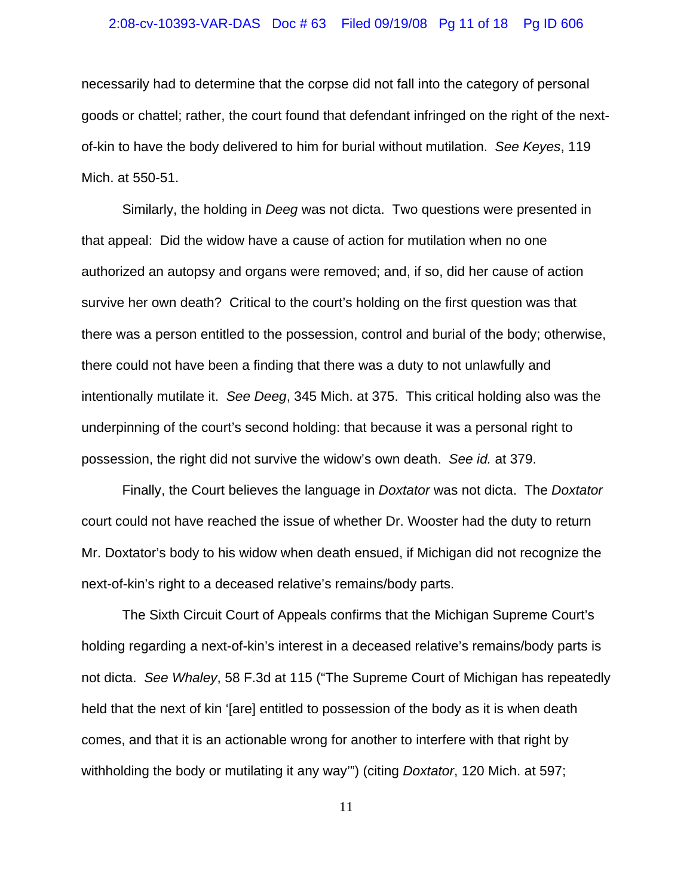#### 2:08-cv-10393-VAR-DAS Doc # 63 Filed 09/19/08 Pg 11 of 18 Pg ID 606

necessarily had to determine that the corpse did not fall into the category of personal goods or chattel; rather, the court found that defendant infringed on the right of the nextof-kin to have the body delivered to him for burial without mutilation. *See Keyes*, 119 Mich. at 550-51.

Similarly, the holding in *Deeg* was not dicta. Two questions were presented in that appeal: Did the widow have a cause of action for mutilation when no one authorized an autopsy and organs were removed; and, if so, did her cause of action survive her own death? Critical to the court's holding on the first question was that there was a person entitled to the possession, control and burial of the body; otherwise, there could not have been a finding that there was a duty to not unlawfully and intentionally mutilate it. *See Deeg*, 345 Mich. at 375. This critical holding also was the underpinning of the court's second holding: that because it was a personal right to possession, the right did not survive the widow's own death. *See id.* at 379.

Finally, the Court believes the language in *Doxtator* was not dicta. The *Doxtator* court could not have reached the issue of whether Dr. Wooster had the duty to return Mr. Doxtator's body to his widow when death ensued, if Michigan did not recognize the next-of-kin's right to a deceased relative's remains/body parts.

The Sixth Circuit Court of Appeals confirms that the Michigan Supreme Court's holding regarding a next-of-kin's interest in a deceased relative's remains/body parts is not dicta. *See Whaley*, 58 F.3d at 115 ("The Supreme Court of Michigan has repeatedly held that the next of kin '[are] entitled to possession of the body as it is when death comes, and that it is an actionable wrong for another to interfere with that right by withholding the body or mutilating it any way'") (citing *Doxtator*, 120 Mich. at 597;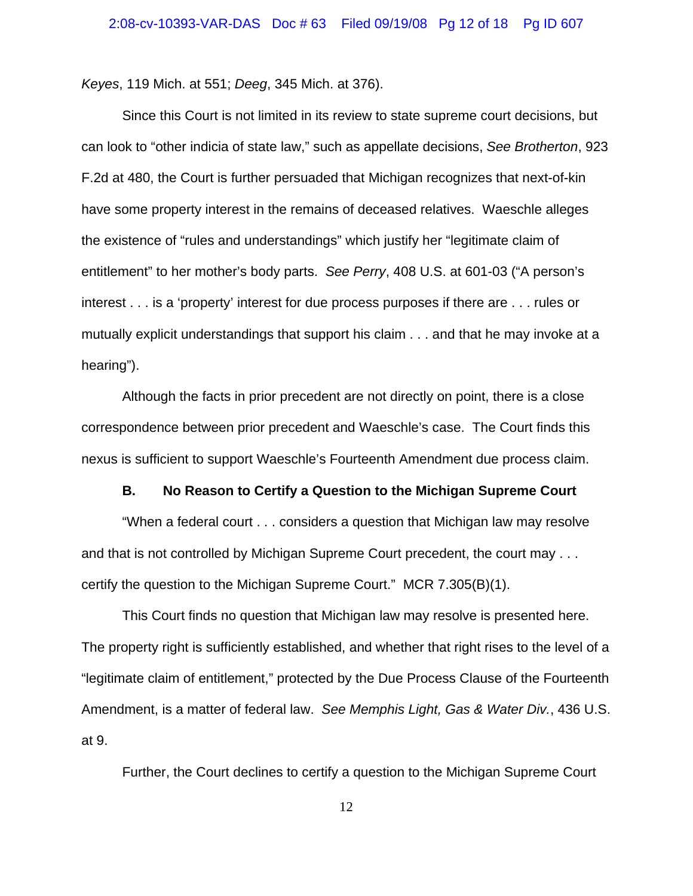*Keyes*, 119 Mich. at 551; *Deeg*, 345 Mich. at 376).

Since this Court is not limited in its review to state supreme court decisions, but can look to "other indicia of state law," such as appellate decisions, *See Brotherton*, 923 F.2d at 480, the Court is further persuaded that Michigan recognizes that next-of-kin have some property interest in the remains of deceased relatives. Waeschle alleges the existence of "rules and understandings" which justify her "legitimate claim of entitlement" to her mother's body parts. *See Perry*, 408 U.S. at 601-03 ("A person's interest . . . is a 'property' interest for due process purposes if there are . . . rules or mutually explicit understandings that support his claim . . . and that he may invoke at a hearing").

Although the facts in prior precedent are not directly on point, there is a close correspondence between prior precedent and Waeschle's case. The Court finds this nexus is sufficient to support Waeschle's Fourteenth Amendment due process claim.

## **B. No Reason to Certify a Question to the Michigan Supreme Court**

"When a federal court . . . considers a question that Michigan law may resolve and that is not controlled by Michigan Supreme Court precedent, the court may . . . certify the question to the Michigan Supreme Court." MCR 7.305(B)(1).

This Court finds no question that Michigan law may resolve is presented here. The property right is sufficiently established, and whether that right rises to the level of a "legitimate claim of entitlement," protected by the Due Process Clause of the Fourteenth Amendment, is a matter of federal law. *See Memphis Light, Gas & Water Div.*, 436 U.S. at 9.

Further, the Court declines to certify a question to the Michigan Supreme Court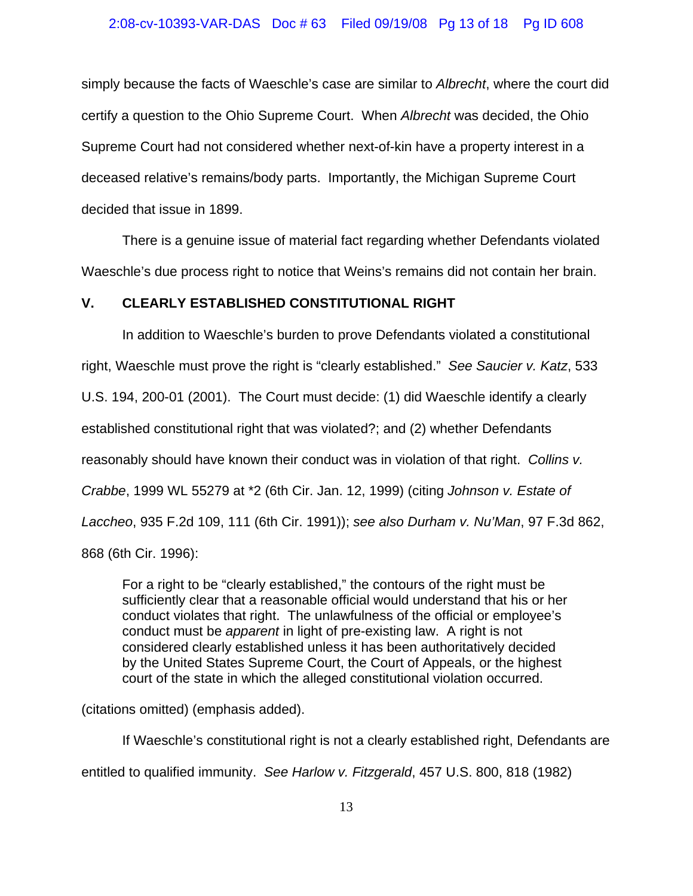### 2:08-cv-10393-VAR-DAS Doc # 63 Filed 09/19/08 Pg 13 of 18 Pg ID 608

simply because the facts of Waeschle's case are similar to *Albrecht*, where the court did certify a question to the Ohio Supreme Court. When *Albrecht* was decided, the Ohio Supreme Court had not considered whether next-of-kin have a property interest in a deceased relative's remains/body parts. Importantly, the Michigan Supreme Court decided that issue in 1899.

There is a genuine issue of material fact regarding whether Defendants violated Waeschle's due process right to notice that Weins's remains did not contain her brain.

## **V. CLEARLY ESTABLISHED CONSTITUTIONAL RIGHT**

In addition to Waeschle's burden to prove Defendants violated a constitutional right, Waeschle must prove the right is "clearly established." *See Saucier v. Katz*, 533 U.S. 194, 200-01 (2001). The Court must decide: (1) did Waeschle identify a clearly established constitutional right that was violated?; and (2) whether Defendants reasonably should have known their conduct was in violation of that right. *Collins v. Crabbe*, 1999 WL 55279 at \*2 (6th Cir. Jan. 12, 1999) (citing *Johnson v. Estate of Laccheo*, 935 F.2d 109, 111 (6th Cir. 1991)); *see also Durham v. Nu'Man*, 97 F.3d 862, 868 (6th Cir. 1996):

For a right to be "clearly established," the contours of the right must be sufficiently clear that a reasonable official would understand that his or her conduct violates that right. The unlawfulness of the official or employee's conduct must be *apparent* in light of pre-existing law. A right is not considered clearly established unless it has been authoritatively decided by the United States Supreme Court, the Court of Appeals, or the highest court of the state in which the alleged constitutional violation occurred.

(citations omitted) (emphasis added).

If Waeschle's constitutional right is not a clearly established right, Defendants are entitled to qualified immunity. *See Harlow v. Fitzgerald*, 457 U.S. 800, 818 (1982)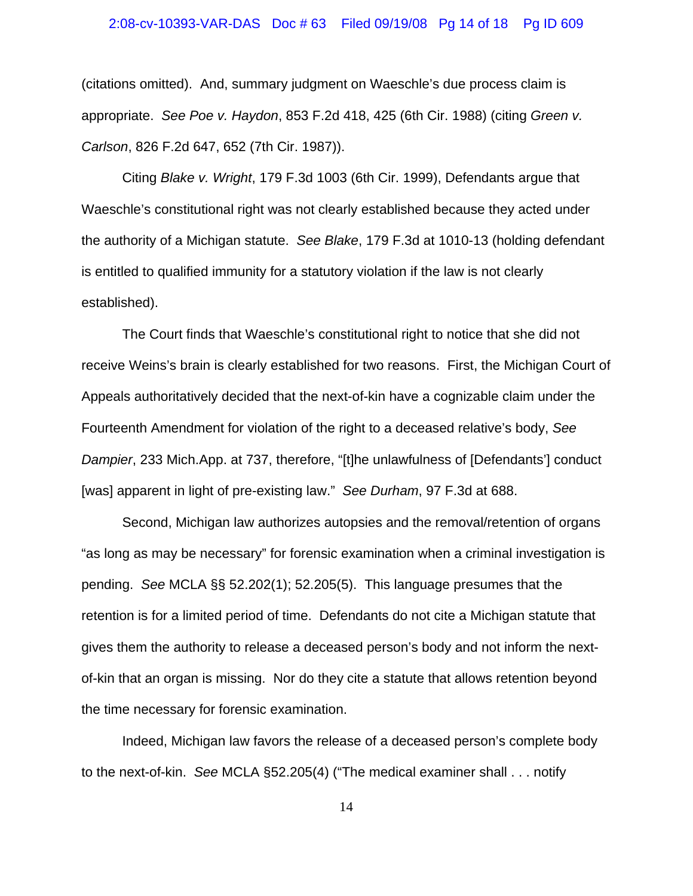#### 2:08-cv-10393-VAR-DAS Doc # 63 Filed 09/19/08 Pg 14 of 18 Pg ID 609

(citations omitted). And, summary judgment on Waeschle's due process claim is appropriate. *See Poe v. Haydon*, 853 F.2d 418, 425 (6th Cir. 1988) (citing *Green v. Carlson*, 826 F.2d 647, 652 (7th Cir. 1987)).

Citing *Blake v. Wright*, 179 F.3d 1003 (6th Cir. 1999), Defendants argue that Waeschle's constitutional right was not clearly established because they acted under the authority of a Michigan statute. *See Blake*, 179 F.3d at 1010-13 (holding defendant is entitled to qualified immunity for a statutory violation if the law is not clearly established).

The Court finds that Waeschle's constitutional right to notice that she did not receive Weins's brain is clearly established for two reasons. First, the Michigan Court of Appeals authoritatively decided that the next-of-kin have a cognizable claim under the Fourteenth Amendment for violation of the right to a deceased relative's body, *See Dampier*, 233 Mich.App. at 737, therefore, "[t]he unlawfulness of [Defendants'] conduct [was] apparent in light of pre-existing law." *See Durham*, 97 F.3d at 688.

Second, Michigan law authorizes autopsies and the removal/retention of organs "as long as may be necessary" for forensic examination when a criminal investigation is pending. *See* MCLA §§ 52.202(1); 52.205(5). This language presumes that the retention is for a limited period of time. Defendants do not cite a Michigan statute that gives them the authority to release a deceased person's body and not inform the nextof-kin that an organ is missing. Nor do they cite a statute that allows retention beyond the time necessary for forensic examination.

Indeed, Michigan law favors the release of a deceased person's complete body to the next-of-kin. *See* MCLA §52.205(4) ("The medical examiner shall . . . notify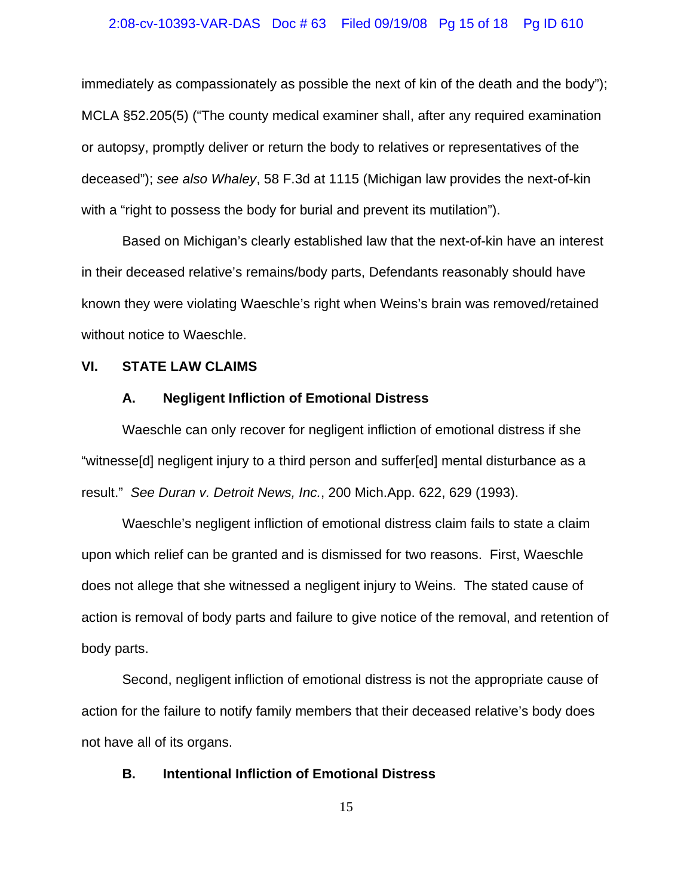#### 2:08-cv-10393-VAR-DAS Doc # 63 Filed 09/19/08 Pg 15 of 18 Pg ID 610

immediately as compassionately as possible the next of kin of the death and the body"); MCLA §52.205(5) ("The county medical examiner shall, after any required examination or autopsy, promptly deliver or return the body to relatives or representatives of the deceased"); *see also Whaley*, 58 F.3d at 1115 (Michigan law provides the next-of-kin with a "right to possess the body for burial and prevent its mutilation").

Based on Michigan's clearly established law that the next-of-kin have an interest in their deceased relative's remains/body parts, Defendants reasonably should have known they were violating Waeschle's right when Weins's brain was removed/retained without notice to Waeschle.

#### **VI. STATE LAW CLAIMS**

## **A. Negligent Infliction of Emotional Distress**

Waeschle can only recover for negligent infliction of emotional distress if she "witnesse[d] negligent injury to a third person and suffer[ed] mental disturbance as a result." *See Duran v. Detroit News, Inc.*, 200 Mich.App. 622, 629 (1993).

Waeschle's negligent infliction of emotional distress claim fails to state a claim upon which relief can be granted and is dismissed for two reasons. First, Waeschle does not allege that she witnessed a negligent injury to Weins. The stated cause of action is removal of body parts and failure to give notice of the removal, and retention of body parts.

Second, negligent infliction of emotional distress is not the appropriate cause of action for the failure to notify family members that their deceased relative's body does not have all of its organs.

## **B. Intentional Infliction of Emotional Distress**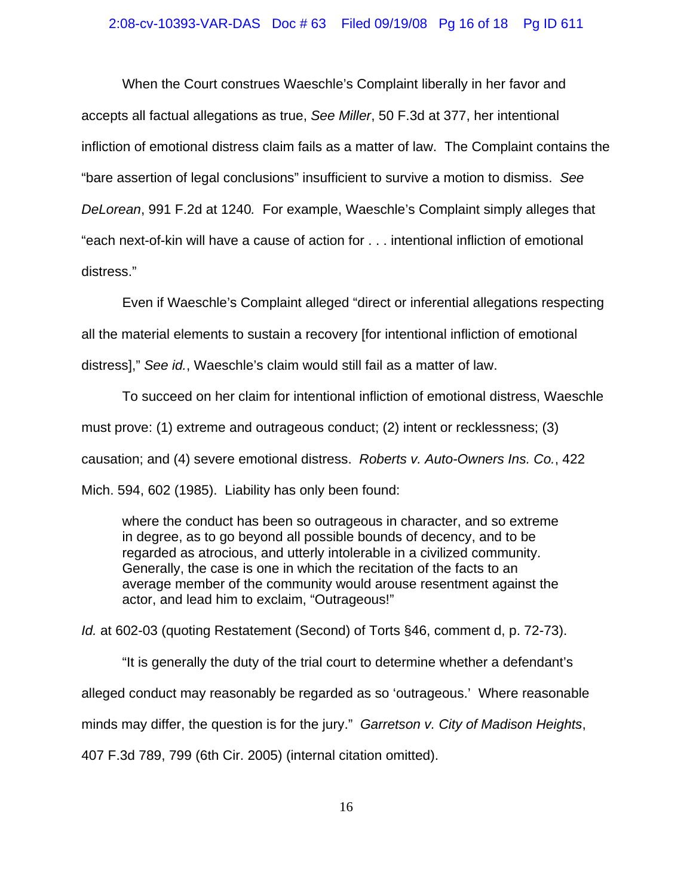#### 2:08-cv-10393-VAR-DAS Doc # 63 Filed 09/19/08 Pg 16 of 18 Pg ID 611

When the Court construes Waeschle's Complaint liberally in her favor and accepts all factual allegations as true, *See Miller*, 50 F.3d at 377, her intentional infliction of emotional distress claim fails as a matter of law. The Complaint contains the "bare assertion of legal conclusions" insufficient to survive a motion to dismiss. *See DeLorean*, 991 F.2d at 1240*.* For example, Waeschle's Complaint simply alleges that "each next-of-kin will have a cause of action for . . . intentional infliction of emotional distress."

Even if Waeschle's Complaint alleged "direct or inferential allegations respecting all the material elements to sustain a recovery [for intentional infliction of emotional distress]," *See id.*, Waeschle's claim would still fail as a matter of law.

To succeed on her claim for intentional infliction of emotional distress, Waeschle must prove: (1) extreme and outrageous conduct; (2) intent or recklessness; (3) causation; and (4) severe emotional distress. *Roberts v. Auto-Owners Ins. Co.*, 422 Mich. 594, 602 (1985). Liability has only been found:

where the conduct has been so outrageous in character, and so extreme in degree, as to go beyond all possible bounds of decency, and to be regarded as atrocious, and utterly intolerable in a civilized community. Generally, the case is one in which the recitation of the facts to an average member of the community would arouse resentment against the actor, and lead him to exclaim, "Outrageous!"

*Id.* at 602-03 (quoting Restatement (Second) of Torts §46, comment d, p. 72-73).

"It is generally the duty of the trial court to determine whether a defendant's alleged conduct may reasonably be regarded as so 'outrageous.' Where reasonable minds may differ, the question is for the jury." *Garretson v. City of Madison Heights*, 407 F.3d 789, 799 (6th Cir. 2005) (internal citation omitted).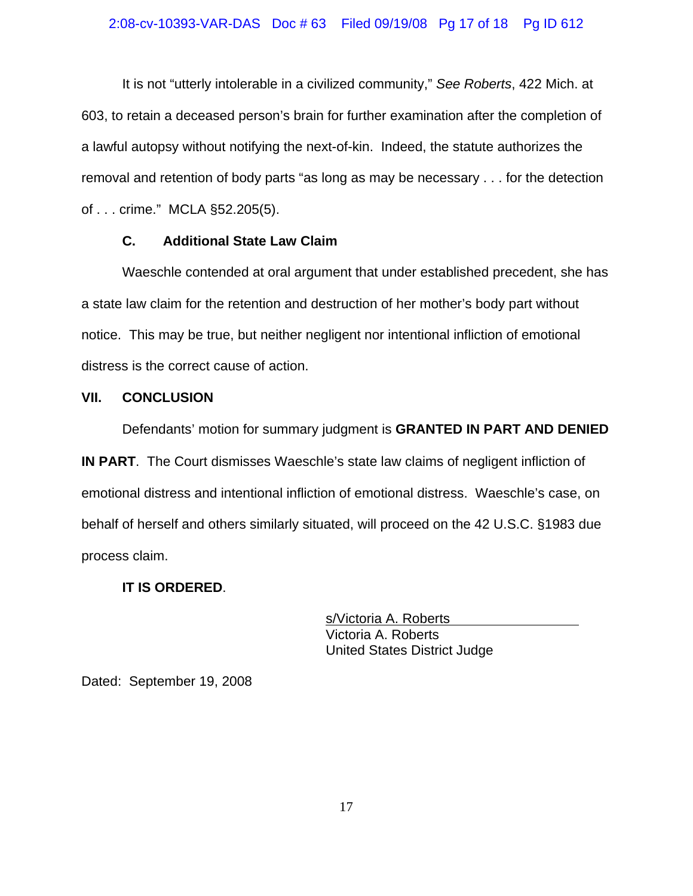## 2:08-cv-10393-VAR-DAS Doc # 63 Filed 09/19/08 Pg 17 of 18 Pg ID 612

It is not "utterly intolerable in a civilized community," *See Roberts*, 422 Mich. at 603, to retain a deceased person's brain for further examination after the completion of a lawful autopsy without notifying the next-of-kin. Indeed, the statute authorizes the removal and retention of body parts "as long as may be necessary . . . for the detection of . . . crime." MCLA §52.205(5).

## **C. Additional State Law Claim**

Waeschle contended at oral argument that under established precedent, she has a state law claim for the retention and destruction of her mother's body part without notice. This may be true, but neither negligent nor intentional infliction of emotional distress is the correct cause of action.

### **VII. CONCLUSION**

Defendants' motion for summary judgment is **GRANTED IN PART AND DENIED IN PART**.The Court dismisses Waeschle's state law claims of negligent infliction of emotional distress and intentional infliction of emotional distress. Waeschle's case, on behalf of herself and others similarly situated, will proceed on the 42 U.S.C. §1983 due process claim.

## **IT IS ORDERED**.

s/Victoria A. Roberts Victoria A. Roberts United States District Judge

Dated: September 19, 2008